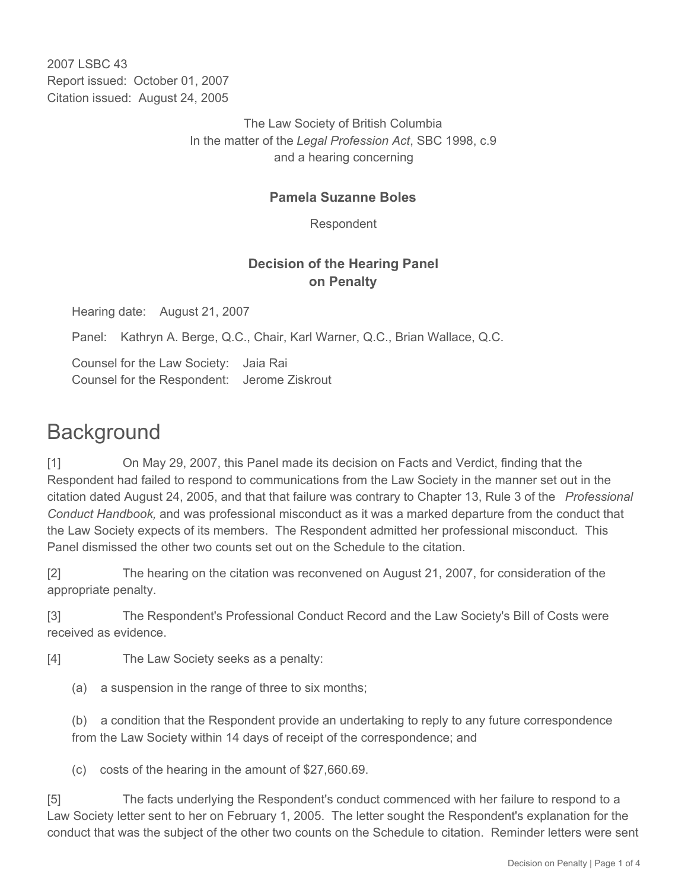2007 LSBC 43 Report issued: October 01, 2007 Citation issued: August 24, 2005

> The Law Society of British Columbia In the matter of the *Legal Profession Act*, SBC 1998, c.9 and a hearing concerning

#### **Pamela Suzanne Boles**

Respondent

### **Decision of the Hearing Panel on Penalty**

Hearing date: August 21, 2007

Panel: Kathryn A. Berge, Q.C., Chair, Karl Warner, Q.C., Brian Wallace, Q.C.

Counsel for the Law Society: Jaia Rai Counsel for the Respondent: Jerome Ziskrout

# **Background**

[1] On May 29, 2007, this Panel made its decision on Facts and Verdict, finding that the Respondent had failed to respond to communications from the Law Society in the manner set out in the citation dated August 24, 2005, and that that failure was contrary to Chapter 13, Rule 3 of the *Professional Conduct Handbook,* and was professional misconduct as it was a marked departure from the conduct that the Law Society expects of its members. The Respondent admitted her professional misconduct. This Panel dismissed the other two counts set out on the Schedule to the citation.

[2] The hearing on the citation was reconvened on August 21, 2007, for consideration of the appropriate penalty.

[3] The Respondent's Professional Conduct Record and the Law Society's Bill of Costs were received as evidence.

[4] The Law Society seeks as a penalty:

(a) a suspension in the range of three to six months;

(b) a condition that the Respondent provide an undertaking to reply to any future correspondence from the Law Society within 14 days of receipt of the correspondence; and

(c) costs of the hearing in the amount of \$27,660.69.

[5] The facts underlying the Respondent's conduct commenced with her failure to respond to a Law Society letter sent to her on February 1, 2005. The letter sought the Respondent's explanation for the conduct that was the subject of the other two counts on the Schedule to citation. Reminder letters were sent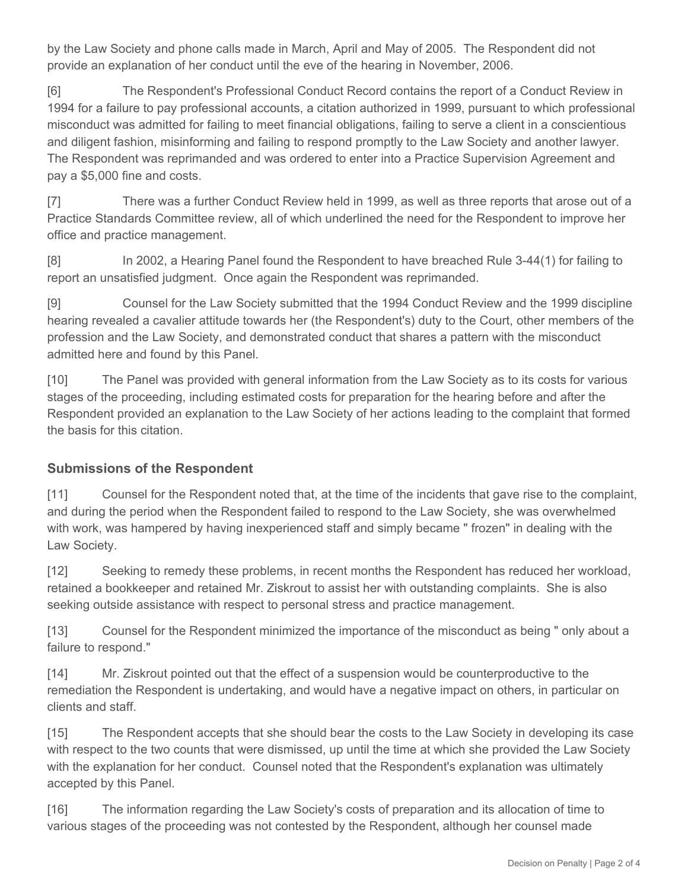by the Law Society and phone calls made in March, April and May of 2005. The Respondent did not provide an explanation of her conduct until the eve of the hearing in November, 2006.

[6] The Respondent's Professional Conduct Record contains the report of a Conduct Review in 1994 for a failure to pay professional accounts, a citation authorized in 1999, pursuant to which professional misconduct was admitted for failing to meet financial obligations, failing to serve a client in a conscientious and diligent fashion, misinforming and failing to respond promptly to the Law Society and another lawyer. The Respondent was reprimanded and was ordered to enter into a Practice Supervision Agreement and pay a \$5,000 fine and costs.

[7] There was a further Conduct Review held in 1999, as well as three reports that arose out of a Practice Standards Committee review, all of which underlined the need for the Respondent to improve her office and practice management.

[8] In 2002, a Hearing Panel found the Respondent to have breached Rule 3-44(1) for failing to report an unsatisfied judgment. Once again the Respondent was reprimanded.

[9] Counsel for the Law Society submitted that the 1994 Conduct Review and the 1999 discipline hearing revealed a cavalier attitude towards her (the Respondent's) duty to the Court, other members of the profession and the Law Society, and demonstrated conduct that shares a pattern with the misconduct admitted here and found by this Panel.

[10] The Panel was provided with general information from the Law Society as to its costs for various stages of the proceeding, including estimated costs for preparation for the hearing before and after the Respondent provided an explanation to the Law Society of her actions leading to the complaint that formed the basis for this citation.

## **Submissions of the Respondent**

[11] Counsel for the Respondent noted that, at the time of the incidents that gave rise to the complaint, and during the period when the Respondent failed to respond to the Law Society, she was overwhelmed with work, was hampered by having inexperienced staff and simply became " frozen" in dealing with the Law Society.

[12] Seeking to remedy these problems, in recent months the Respondent has reduced her workload, retained a bookkeeper and retained Mr. Ziskrout to assist her with outstanding complaints. She is also seeking outside assistance with respect to personal stress and practice management.

[13] Counsel for the Respondent minimized the importance of the misconduct as being " only about a failure to respond."

[14] Mr. Ziskrout pointed out that the effect of a suspension would be counterproductive to the remediation the Respondent is undertaking, and would have a negative impact on others, in particular on clients and staff.

[15] The Respondent accepts that she should bear the costs to the Law Society in developing its case with respect to the two counts that were dismissed, up until the time at which she provided the Law Society with the explanation for her conduct. Counsel noted that the Respondent's explanation was ultimately accepted by this Panel.

[16] The information regarding the Law Society's costs of preparation and its allocation of time to various stages of the proceeding was not contested by the Respondent, although her counsel made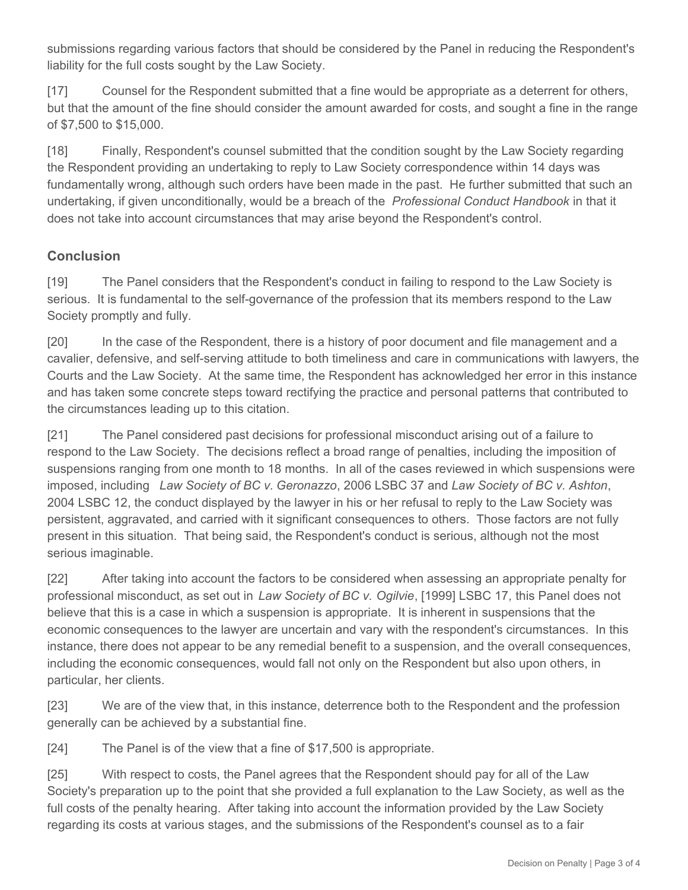submissions regarding various factors that should be considered by the Panel in reducing the Respondent's liability for the full costs sought by the Law Society.

[17] Counsel for the Respondent submitted that a fine would be appropriate as a deterrent for others, but that the amount of the fine should consider the amount awarded for costs, and sought a fine in the range of \$7,500 to \$15,000.

[18] Finally, Respondent's counsel submitted that the condition sought by the Law Society regarding the Respondent providing an undertaking to reply to Law Society correspondence within 14 days was fundamentally wrong, although such orders have been made in the past. He further submitted that such an undertaking, if given unconditionally, would be a breach of the *Professional Conduct Handbook* in that it does not take into account circumstances that may arise beyond the Respondent's control.

#### **Conclusion**

[19] The Panel considers that the Respondent's conduct in failing to respond to the Law Society is serious. It is fundamental to the self-governance of the profession that its members respond to the Law Society promptly and fully.

[20] In the case of the Respondent, there is a history of poor document and file management and a cavalier, defensive, and self-serving attitude to both timeliness and care in communications with lawyers, the Courts and the Law Society. At the same time, the Respondent has acknowledged her error in this instance and has taken some concrete steps toward rectifying the practice and personal patterns that contributed to the circumstances leading up to this citation.

[21] The Panel considered past decisions for professional misconduct arising out of a failure to respond to the Law Society. The decisions reflect a broad range of penalties, including the imposition of suspensions ranging from one month to 18 months. In all of the cases reviewed in which suspensions were imposed, including *Law Society of BC v. Geronazzo*, 2006 LSBC 37 and *Law Society of BC v. Ashton*, 2004 LSBC 12, the conduct displayed by the lawyer in his or her refusal to reply to the Law Society was persistent, aggravated, and carried with it significant consequences to others. Those factors are not fully present in this situation. That being said, the Respondent's conduct is serious, although not the most serious imaginable.

[22] After taking into account the factors to be considered when assessing an appropriate penalty for professional misconduct, as set out in *Law Society of BC v. Ogilvie*, [1999] LSBC 17*,* this Panel does not believe that this is a case in which a suspension is appropriate. It is inherent in suspensions that the economic consequences to the lawyer are uncertain and vary with the respondent's circumstances. In this instance, there does not appear to be any remedial benefit to a suspension, and the overall consequences, including the economic consequences, would fall not only on the Respondent but also upon others, in particular, her clients.

[23] We are of the view that, in this instance, deterrence both to the Respondent and the profession generally can be achieved by a substantial fine.

[24] The Panel is of the view that a fine of \$17,500 is appropriate.

[25] With respect to costs, the Panel agrees that the Respondent should pay for all of the Law Society's preparation up to the point that she provided a full explanation to the Law Society, as well as the full costs of the penalty hearing. After taking into account the information provided by the Law Society regarding its costs at various stages, and the submissions of the Respondent's counsel as to a fair